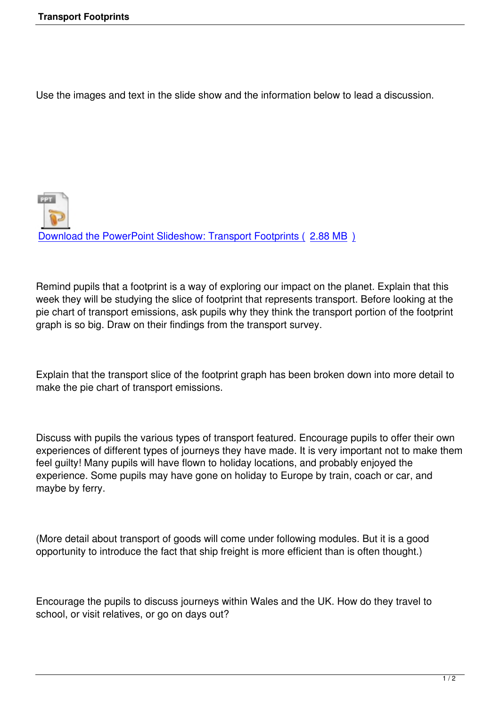Use the images and text in the slide show and the information below to lead a discussion.

**PPT** Download the PowerPoint Slideshow: Transport Footprints ( 2.88 MB )

[Remind pupils that a footprint is a way of exploring our impact on the p](index.php?option=com_docman&task=doc_download&gid=64&Itemid=47)l[a](index.php?option=com_docman&task=doc_download&gid=64&Itemid=47)net. Explain that this week they will be studying the slice of footprint that represents transport. Before looking at the pie chart of transport emissions, ask pupils why they think the transport portion of the footprint graph is so big. Draw on their findings from the transport survey.

Explain that the transport slice of the footprint graph has been broken down into more detail to make the pie chart of transport emissions.

Discuss with pupils the various types of transport featured. Encourage pupils to offer their own experiences of different types of journeys they have made. It is very important not to make them feel guilty! Many pupils will have flown to holiday locations, and probably enjoyed the experience. Some pupils may have gone on holiday to Europe by train, coach or car, and maybe by ferry.

(More detail about transport of goods will come under following modules. But it is a good opportunity to introduce the fact that ship freight is more efficient than is often thought.)

Encourage the pupils to discuss journeys within Wales and the UK. How do they travel to school, or visit relatives, or go on days out?